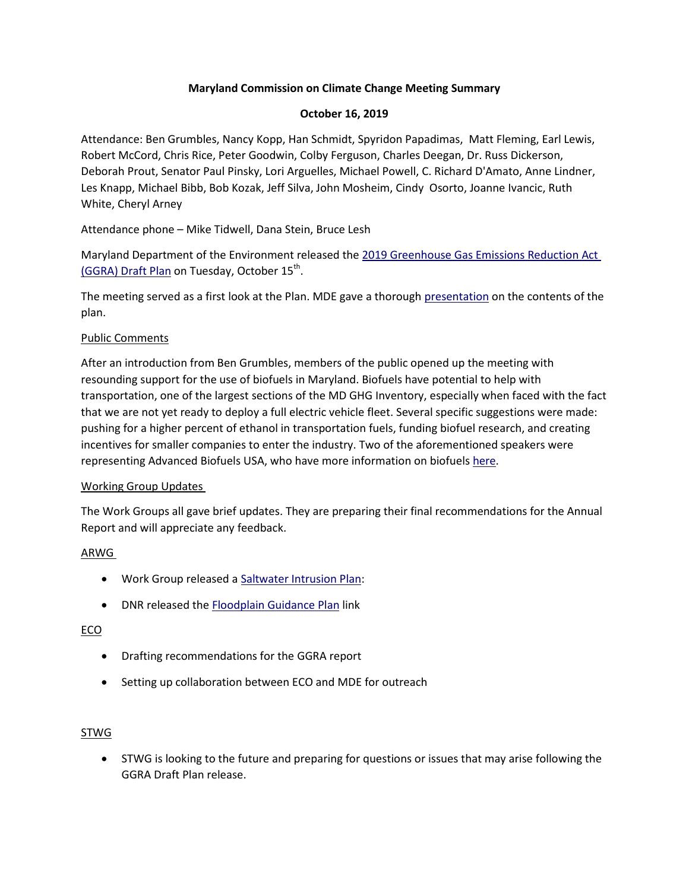## **Maryland Commission on Climate Change Meeting Summary**

## **October 16, 2019**

Attendance: Ben Grumbles, Nancy Kopp, Han Schmidt, Spyridon Papadimas, Matt Fleming, Earl Lewis, Robert McCord, Chris Rice, Peter Goodwin, Colby Ferguson, Charles Deegan, Dr. Russ Dickerson, Deborah Prout, Senator Paul Pinsky, Lori Arguelles, Michael Powell, C. Richard D'Amato, Anne Lindner, Les Knapp, Michael Bibb, Bob Kozak, Jeff Silva, John Mosheim, Cindy Osorto, Joanne Ivancic, Ruth White, Cheryl Arney

Attendance phone – Mike Tidwell, Dana Stein, Bruce Lesh

Maryland Department of the Environment released the 2019 Greenhouse Gas [Emissions Reduction Act](https://mde.maryland.gov/programs/Air/ClimateChange/Pages/2019-Greenhouse-Gas-Emissions-Reduction-Act-(GGRA)--Draft-Plan.aspx)  [\(GGRA\) Draft Plan](https://mde.maryland.gov/programs/Air/ClimateChange/Pages/2019-Greenhouse-Gas-Emissions-Reduction-Act-(GGRA)--Draft-Plan.aspx) on Tuesday, October 15<sup>th</sup>.

The meeting served as a first look at the Plan. MDE gave a thorough [presentation](https://mde.maryland.gov/programs/Air/ClimateChange/MCCC/Pages/Commission.aspx) on the contents of the plan.

### Public Comments

After an introduction from Ben Grumbles, members of the public opened up the meeting with resounding support for the use of biofuels in Maryland. Biofuels have potential to help with transportation, one of the largest sections of the MD GHG Inventory, especially when faced with the fact that we are not yet ready to deploy a full electric vehicle fleet. Several specific suggestions were made: pushing for a higher percent of ethanol in transportation fuels, funding biofuel research, and creating incentives for smaller companies to enter the industry. Two of the aforementioned speakers were representing Advanced Biofuels USA, who have more information on biofuels [here.](https://advancedbiofuelsusa.info/biofuels-basics/biofuels-basics/)

### Working Group Updates

The Work Groups all gave brief updates. They are preparing their final recommendations for the Annual Report and will appreciate any feedback.

# ARWG

- Work Group released a [Saltwater Intrusion Plan:](https://mde.maryland.gov/programs/Air/ClimateChange/MCCC/ARWG/ARWG_MDP_Saltwater%20Intrusion%20Plan08052019.pdf)
- DNR released the [Floodplain Guidance Plan](https://dnr.maryland.gov/ccs/Documents/NuisanceFloodPlan.pdf) link

### ECO

- Drafting recommendations for the GGRA report
- Setting up collaboration between ECO and MDE for outreach

### STWG

 STWG is looking to the future and preparing for questions or issues that may arise following the GGRA Draft Plan release.